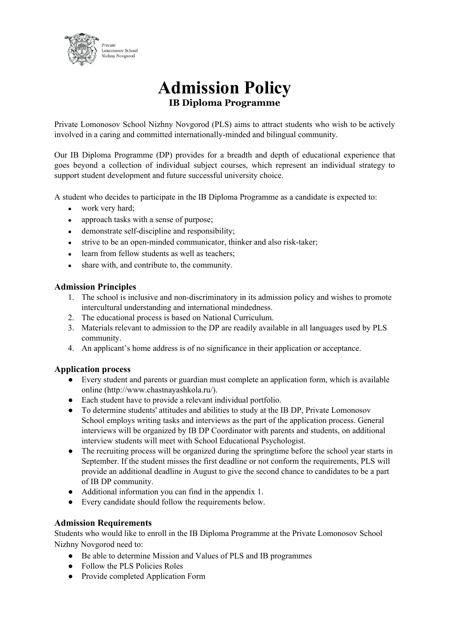

# **Admission Policy IB Diploma Programme**

Private Lomonosov School Nizhny Novgorod (PLS) aims to attract students who wish to be actively involved in a caring and committed internationally-minded and bilingual community.

Our IB Diploma Programme (DP) provides for a breadth and depth of educational experience that goes beyond a collection of individual subject courses, which represent an individual strategy to support student development and future successful university choice.

A student who decides to participate in the IB Diploma Programme as a candidate is expected to:

- work very hard;
- approach tasks with a sense of purpose;
- demonstrate self-discipline and responsibility;
- strive to be an open-minded communicator, thinker and also risk-taker;
- learn from fellow students as well as teachers;
- share with, and contribute to, the community.

#### **Admission Principles**

- 1. The school is inclusive and non-discriminatory in its admission policy and wishes to promote intercultural understanding and international mindedness.
- 2. The educational process is based on National Curriculum.
- 3. Materials relevant to admission to the DP are readily available in all languages used by PLS community.
- 4. An applicant's home address is of no significance in their application or acceptance.

#### **Application process**

- Every student and parents or guardian must complete an application form, which is available online (http://www.chastnayashkola.ru/).
- Each student have to provide a relevant individual portfolio.
- To determine students' attitudes and abilities to study at the IB DP, Private Lomonosov School employs writing tasks and interviews as the part of the application process. General interviews will be organized by IB DP Coordinator with parents and students, on additional interview students will meet with School Educational Psychologist.
- The recruiting process will be organized during the springtime before the school year starts in September. If the student misses the first deadline or not conform the requirements, PLS will provide an additional deadline in August to give the second chance to candidates to be a part of IB DP community.
- Additional information you can find in the appendix 1.
- Every candidate should follow the requirements below.

#### **Admission Requirements**

Students who would like to enroll in the IB Diploma Programme at the Private Lomonosov School Nizhny Novgorod need to:

- Be able to determine Mission and Values of PLS and IB programmes
- Follow the PLS Policies Roles
- Provide completed Application Form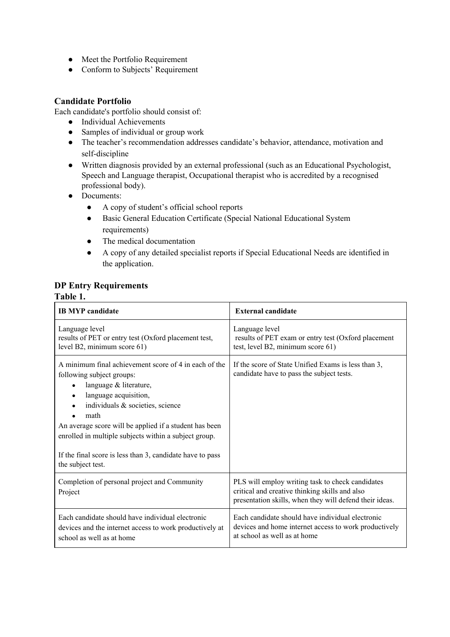- Meet the Portfolio Requirement
- Conform to Subjects' Requirement

#### **Candidate Portfolio**

Each candidate's portfolio should consist of:

- Individual Achievements
- Samples of individual or group work
- The teacher's recommendation addresses candidate's behavior, attendance, motivation and self-discipline
- Written diagnosis provided by an external professional (such as an Educational Psychologist, Speech and Language therapist, Occupational therapist who is accredited by a recognised professional body).
- Documents:
	- A copy of student's official school reports
	- Basic General Education Certificate (Special National Educational System requirements)
	- The medical documentation
	- A copy of any detailed specialist reports if Special Educational Needs are identified in the application.

#### **DP Entry Requirements Table 1.**

| <b>IB MYP</b> candidate                                                                                                                                                                                                                                                                                                                                                                | <b>External candidate</b>                                                                                                                                     |
|----------------------------------------------------------------------------------------------------------------------------------------------------------------------------------------------------------------------------------------------------------------------------------------------------------------------------------------------------------------------------------------|---------------------------------------------------------------------------------------------------------------------------------------------------------------|
| Language level<br>results of PET or entry test (Oxford placement test,<br>level B2, minimum score 61)                                                                                                                                                                                                                                                                                  | Language level<br>results of PET exam or entry test (Oxford placement<br>test, level B2, minimum score 61)                                                    |
| A minimum final achievement score of 4 in each of the<br>following subject groups:<br>language & literature,<br>language acquisition,<br>individuals & societies, science<br>math<br>An average score will be applied if a student has been<br>enrolled in multiple subjects within a subject group.<br>If the final score is less than 3, candidate have to pass<br>the subject test. | If the score of State Unified Exams is less than 3,<br>candidate have to pass the subject tests.                                                              |
| Completion of personal project and Community<br>Project                                                                                                                                                                                                                                                                                                                                | PLS will employ writing task to check candidates<br>critical and creative thinking skills and also<br>presentation skills, when they will defend their ideas. |
| Each candidate should have individual electronic<br>devices and the internet access to work productively at<br>school as well as at home                                                                                                                                                                                                                                               | Each candidate should have individual electronic<br>devices and home internet access to work productively<br>at school as well as at home                     |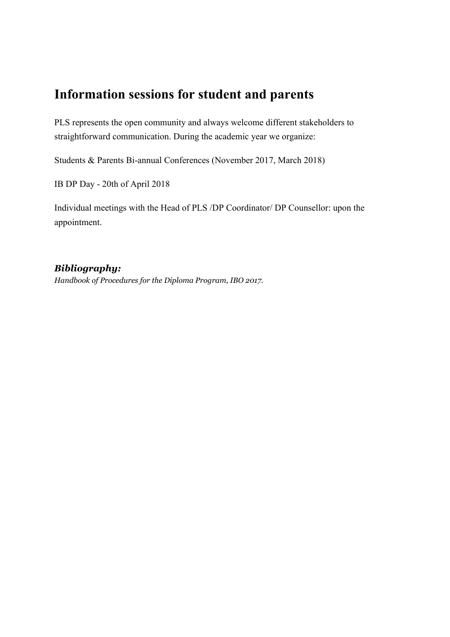## **Information sessions for student and parents**

PLS represents the open community and always welcome different stakeholders to straightforward communication. During the academic year we organize:

Students & Parents Bi-annual Conferences (November 2017, March 2018)

IB DP Day - 20th of April 2018

Individual meetings with the Head of PLS /DP Coordinator/ DP Counsellor: upon the appointment.

#### *Bibliography:*

*Handbook of Procedures for the Diploma Program, IBO 2017.*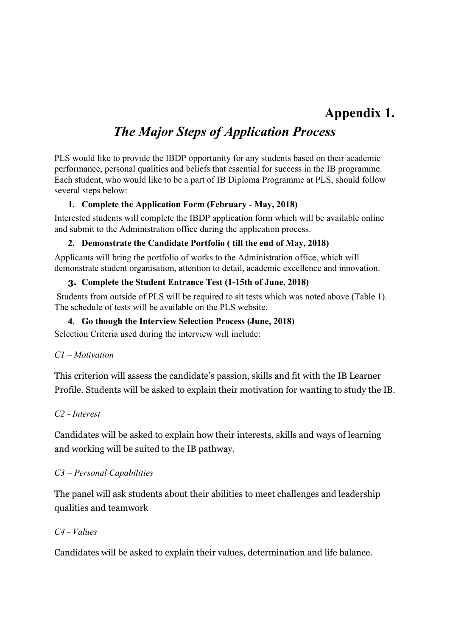# **Appendix 1.**

# *The Major Steps of Application Process*

PLS would like to provide the IBDP opportunity for any students based on their academic performance, personal qualities and beliefs that essential for success in the IB programme. Each student, who would like to be a part of IB Diploma Programme at PLS, should follow several steps below:

#### **1. Complete the Application Form (February - May, 2018)**

Interested students will complete the IBDP application form which will be available online and submit to the Administration office during the application process.

### **2. Demonstrate the Candidate Portfolio ( till the end of May, 2018)**

Applicants will bring the portfolio of works to the Administration office, which will demonstrate student organisation, attention to detail, academic excellence and innovation.

### **3. Complete the Student Entrance Test (1-15th of June, 2018)**

 Students from outside of PLS will be required to sit tests which was noted above (Table 1). The schedule of tests will be available on the PLS website.

## **4. Go though the Interview Selection Process (June, 2018)**

Selection Criteria used during the interview will include:

## *C1 – Motivation*

This criterion will assess the candidate's passion, skills and fit with the IB Learner Profile. Students will be asked to explain their motivation for wanting to study the IB.

## *C2 - Interest*

Candidates will be asked to explain how their interests, skills and ways of learning and working will be suited to the IB pathway.

## *C3 – Personal Capabilities*

The panel will ask students about their abilities to meet challenges and leadership qualities and teamwork

#### *C4 - Values*

Candidates will be asked to explain their values, determination and life balance.